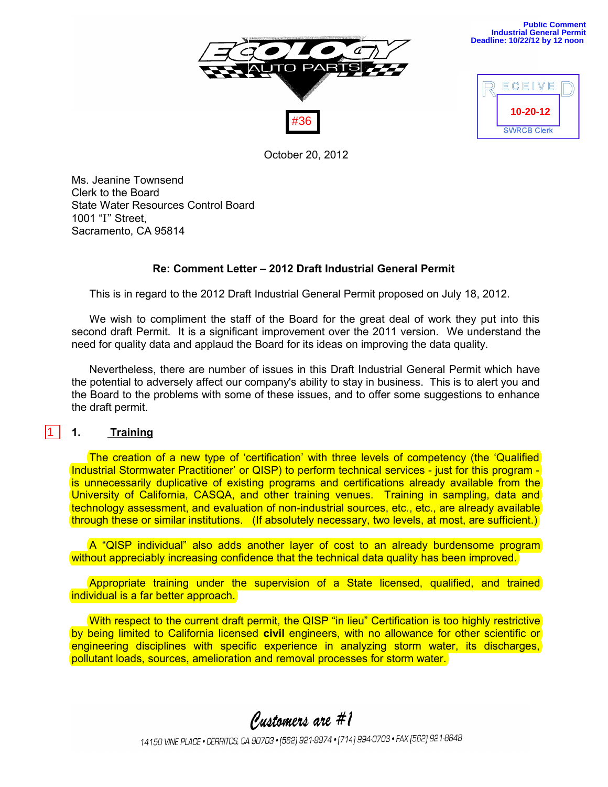

| ECEIVE             |  |
|--------------------|--|
| 10-20-12           |  |
| <b>SWRCB Clerk</b> |  |

**Public Comment Industrial General Permit Deadline: 10/22/12 by 12 noon** 

October 20, 2012

Ms. Jeanine Townsend Clerk to the Board State Water Resources Control Board 1001 "**I"** Street, Sacramento, CA 95814

# **Re: Comment Letter – 2012 Draft Industrial General Permit**

This is in regard to the 2012 Draft Industrial General Permit proposed on July 18, 2012.

We wish to compliment the staff of the Board for the great deal of work they put into this second draft Permit. It is a significant improvement over the 2011 version. We understand the need for quality data and applaud the Board for its ideas on improving the data quality.

Nevertheless, there are number of issues in this Draft Industrial General Permit which have the potential to adversely affect our company's ability to stay in business. This is to alert you and the Board to the problems with some of these issues, and to offer some suggestions to enhance the draft permit.

### **1. Training**

 $\boxed{1}$ 

The creation of a new type of 'certification' with three levels of competency (the 'Qualified Industrial Stormwater Practitioner' or QISP) to perform technical services - just for this program is unnecessarily duplicative of existing programs and certifications already available from the University of California, CASQA, and other training venues. Training in sampling, data and technology assessment, and evaluation of non-industrial sources, etc., etc., are already available through these or similar institutions. (If absolutely necessary, two levels, at most, are sufficient.)

A "QISP individual" also adds another layer of cost to an already burdensome program without appreciably increasing confidence that the technical data quality has been improved.

Appropriate training under the supervision of a State licensed, qualified, and trained individual is a far better approach.

With respect to the current draft permit, the QISP "in lieu" Certification is too highly restrictive by being limited to California licensed **civil** engineers, with no allowance for other scientific or engineering disciplines with specific experience in analyzing storm water, its discharges, pollutant loads, sources, amelioration and removal processes for storm water.

Customers are #1

14150 VINE PLACE . CERRITOS, CA 90703 . [562] 921-9974 . [714] 994-0703 . FAX [562] 921-8648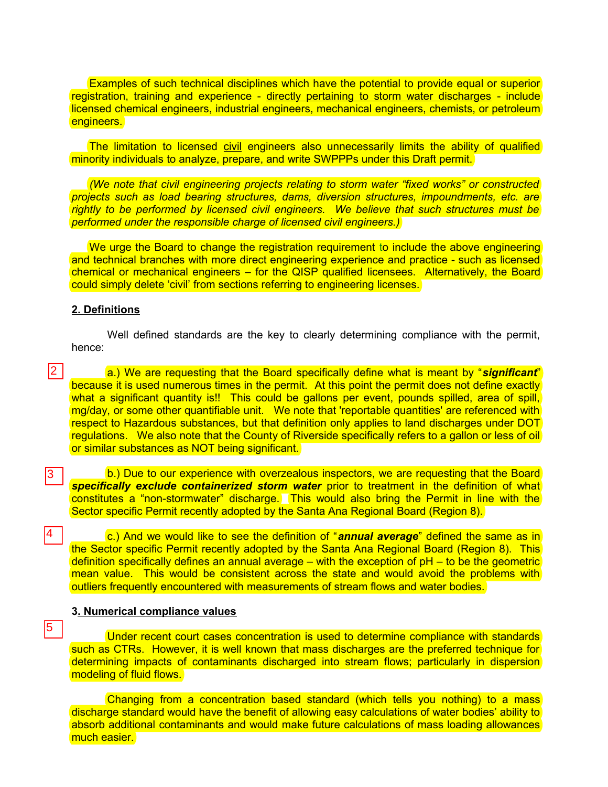Examples of such technical disciplines which have the potential to provide equal or superior registration, training and experience - directly pertaining to storm water discharges - include licensed chemical engineers, industrial engineers, mechanical engineers, chemists, or petroleum engineers.

The limitation to licensed civil engineers also unnecessarily limits the ability of qualified minority individuals to analyze, prepare, and write SWPPPs under this Draft permit.

*(We note that civil engineering projects relating to storm water "fixed works" or constructed projects such as load bearing structures, dams, diversion structures, impoundments, etc. are rightly to be performed by licensed civil engineers. We believe that such structures must be performed under the responsible charge of licensed civil engineers.)* 

We urge the Board to change the registration requirement to include the above engineering and technical branches with more direct engineering experience and practice - such as licensed chemical or mechanical engineers – for the QISP qualified licensees. Alternatively, the Board could simply delete 'civil' from sections referring to engineering licenses.

#### **2. Definitions**

3

4

5

Well defined standards are the key to clearly determining compliance with the permit, hence:

a.) We are requesting that the Board specifically define what is meant by "*significant*" because it is used numerous times in the permit. At this point the permit does not define exactly what a significant quantity is!! This could be gallons per event, pounds spilled, area of spill, mg/day, or some other quantifiable unit. We note that 'reportable quantities' are referenced with respect to Hazardous substances, but that definition only applies to land discharges under DOT regulations. We also note that the County of Riverside specifically refers to a gallon or less of oil or similar substances as NOT being significant. 2 I

b.) Due to our experience with overzealous inspectors, we are requesting that the Board *specifically exclude containerized storm water* prior to treatment in the definition of what constitutes a "non-stormwater" discharge. This would also bring the Permit in line with the Sector specific Permit recently adopted by the Santa Ana Regional Board (Region 8).

c.) And we would like to see the definition of "*annual average*" defined the same as in the Sector specific Permit recently adopted by the Santa Ana Regional Board (Region 8). This definition specifically defines an annual average – with the exception of pH – to be the geometric mean value. This would be consistent across the state and would avoid the problems with outliers frequently encountered with measurements of stream flows and water bodies.

# **3. Numerical compliance values**

Under recent court cases concentration is used to determine compliance with standards such as CTRs. However, it is well known that mass discharges are the preferred technique for determining impacts of contaminants discharged into stream flows; particularly in dispersion modeling of fluid flows.

Changing from a concentration based standard (which tells you nothing) to a mass discharge standard would have the benefit of allowing easy calculations of water bodies' ability to absorb additional contaminants and would make future calculations of mass loading allowances much easier.